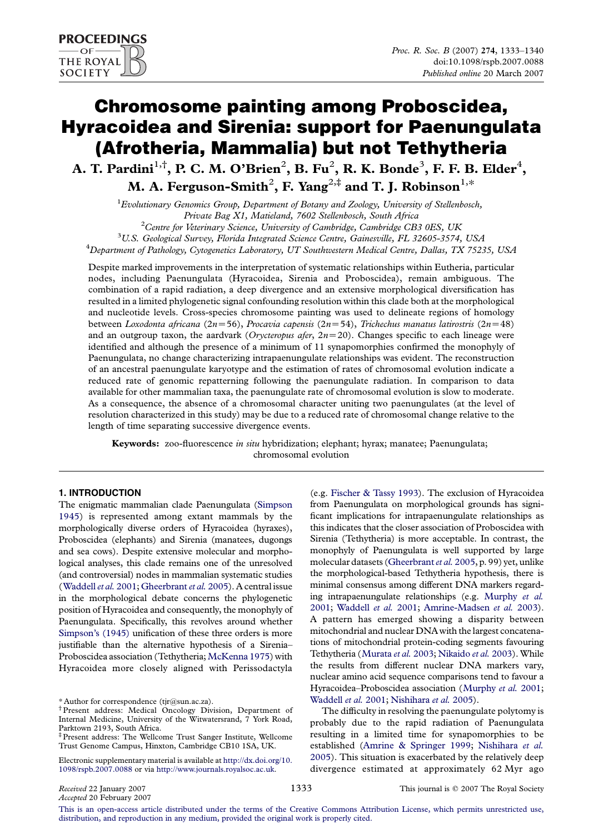# Chromosome painting among Proboscidea, Hyracoidea and Sirenia: support for Paenungulata (Afrotheria, Mammalia) but not Tethytheria

A. T. Pardini $^{1, \dagger}$ , P. C. M. O'Brien $^2$ , B. Fu $^2$ , R. K. Bonde $^3$ , F. F. B. Elder $^4$ , M. A. Ferguson-Smith $^2$ , F. Yang $^{2,\ddag}$  and T. J. Robinson $^{1,\ast}$ 

 ${}^{1}$ Evolutionary Genomics Group, Department of Botany and Zoology, University of Stellenbosch, Private Bag X1, Matieland, 7602 Stellenbosch, South Africa <sup>2</sup>  ${}^{2}$ Centre for Veterinary Science, University of Cambridge, Cambridge CB3 0ES, UK  $^3$ U.S. Geological Survey, Florida Integrated Science Centre, Gainesville, FL 32605-3574, USA

 $^{4}$ Department of Pathology, Cytogenetics Laboratory, UT Southwestern Medical Centre, Dallas, TX 75235, USA

Despite marked improvements in the interpretation of systematic relationships within Eutheria, particular nodes, including Paenungulata (Hyracoidea, Sirenia and Proboscidea), remain ambiguous. The combination of a rapid radiation, a deep divergence and an extensive morphological diversification has resulted in a limited phylogenetic signal confounding resolution within this clade both at the morphological and nucleotide levels. Cross-species chromosome painting was used to delineate regions of homology between Loxodonta africana (2n=56), Procavia capensis (2n=54), Trichechus manatus latirostris (2n=48) and an outgroup taxon, the aardvark (Orycteropus afer,  $2n=20$ ). Changes specific to each lineage were identified and although the presence of a minimum of 11 synapomorphies confirmed the monophyly of Paenungulata, no change characterizing intrapaenungulate relationships was evident. The reconstruction of an ancestral paenungulate karyotype and the estimation of rates of chromosomal evolution indicate a reduced rate of genomic repatterning following the paenungulate radiation. In comparison to data available for other mammalian taxa, the paenungulate rate of chromosomal evolution is slow to moderate. As a consequence, the absence of a chromosomal character uniting two paenungulates (at the level of resolution characterized in this study) may be due to a reduced rate of chromosomal change relative to the length of time separating successive divergence events.

Keywords: zoo-fluorescence in situ hybridization; elephant; hyrax; manatee; Paenungulata; chromosomal evolution

# 1. INTRODUCTION

The enigmatic mammalian clade Paenungulata [\(Simpson](#page-7-0) [1945](#page-7-0)) is represented among extant mammals by the morphologically diverse orders of Hyracoidea (hyraxes), Proboscidea (elephants) and Sirenia (manatees, dugongs and sea cows). Despite extensive molecular and morphological analyses, this clade remains one of the unresolved (and controversial) nodes in mammalian systematic studies ([Waddell](#page-7-0) et al. 2001; [Gheerbrant](#page-6-0) et al. 2005). A central issue in the morphological debate concerns the phylogenetic position of Hyracoidea and consequently, the monophyly of Paenungulata. Specifically, this revolves around whether [Simpson's \(1945\)](#page-7-0) unification of these three orders is more justifiable than the alternative hypothesis of a Sirenia– Proboscidea association (Tethytheria; [McKenna 1975\)](#page-6-0) with Hyracoidea more closely aligned with Perissodactyla (e.g. [Fischer & Tassy 1993\)](#page-6-0). The exclusion of Hyracoidea from Paenungulata on morphological grounds has significant implications for intrapaenungulate relationships as this indicates that the closer association of Proboscidea with Sirenia (Tethytheria) is more acceptable. In contrast, the monophyly of Paenungulata is well supported by large molecular datasets [\(Gheerbrant](#page-6-0) et al. 2005, p. 99) yet, unlike the morphological-based Tethytheria hypothesis, there is minimal consensus among different DNA markers regarding intrapaenungulate relationships (e.g. [Murphy](#page-6-0) et al. [2001;](#page-6-0) [Waddell](#page-7-0) et al. 2001; [Amrine-Madsen](#page-6-0) et al. 2003). A pattern has emerged showing a disparity between mitochondrial and nuclear DNA with the largest concatenations of mitochondrial protein-coding segments favouring Tethytheria ([Murata](#page-6-0) et al. 2003; [Nikaido](#page-6-0) et al. 2003). While the results from different nuclear DNA markers vary, nuclear amino acid sequence comparisons tend to favour a Hyracoidea–Proboscidea association ([Murphy](#page-6-0) et al. 2001; [Waddell](#page-7-0) et al. 2001; [Nishihara](#page-6-0) et al. 2005).

The difficulty in resolving the paenungulate polytomy is probably due to the rapid radiation of Paenungulata resulting in a limited time for synapomorphies to be established ([Amrine & Springer 1999;](#page-6-0) [Nishihara](#page-6-0) et al. [2005](#page-6-0)). This situation is exacerbated by the relatively deep divergence estimated at approximately 62 Myr ago

[This is an open-access article distributed under the terms of the Creative Commons Attribution License, which permits unrestricted use,](http://creativecommons.org/licenses/by/2.5/) [distribution, and reproduction in any medium, provided the original work is properly cited.](http://creativecommons.org/licenses/by/2.5/)

<sup>\*</sup> Author for correspondence (tjr@sun.ac.za).

<sup>†</sup> Present address: Medical Oncology Division, Department of Internal Medicine, University of the Witwatersrand, 7 York Road, Parktown 2193, South Africa.

<sup>‡</sup>Present address: The Wellcome Trust Sanger Institute, Wellcome Trust Genome Campus, Hinxton, Cambridge CB10 1SA, UK.

Electronic supplementary material is available at [http://dx.doi.org/10.](http://dx.doi.org/10.1098/rspb.2007.0088) [1098/rspb.2007.0088](http://dx.doi.org/10.1098/rspb.2007.0088) or via <http://www.journals.royalsoc.ac.uk>.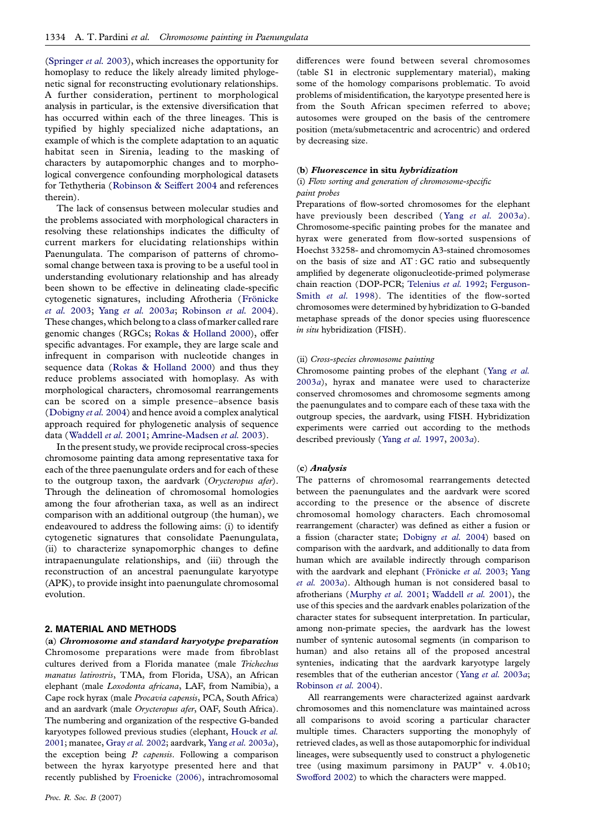([Springer](#page-7-0) et al. 2003), which increases the opportunity for homoplasy to reduce the likely already limited phylogenetic signal for reconstructing evolutionary relationships. A further consideration, pertinent to morphological analysis in particular, is the extensive diversification that has occurred within each of the three lineages. This is typified by highly specialized niche adaptations, an example of which is the complete adaptation to an aquatic habitat seen in Sirenia, leading to the masking of characters by autapomorphic changes and to morphological convergence confounding morphological datasets for Tethytheria ([Robinson & Seiffert 2004](#page-7-0) and references therein).

The lack of consensus between molecular studies and the problems associated with morphological characters in resolving these relationships indicates the difficulty of current markers for elucidating relationships within Paenungulata. The comparison of patterns of chromosomal change between taxa is proving to be a useful tool in understanding evolutionary relationship and has already been shown to be effective in delineating clade-specific cytogenetic signatures, including Afrotheria (Frönicke [et al.](#page-6-0) 2003; Yang [et al.](#page-7-0) 2003a; [Robinson](#page-7-0) et al. 2004). These changes, which belong to a class of marker called rare genomic changes (RGCs; [Rokas & Holland 2000](#page-7-0)), offer specific advantages. For example, they are large scale and infrequent in comparison with nucleotide changes in sequence data ([Rokas & Holland 2000](#page-7-0)) and thus they reduce problems associated with homoplasy. As with morphological characters, chromosomal rearrangements can be scored on a simple presence–absence basis ([Dobigny](#page-6-0) et al. 2004) and hence avoid a complex analytical approach required for phylogenetic analysis of sequence data ([Waddell](#page-7-0) et al. 2001; [Amrine-Madsen](#page-6-0) et al. 2003).

In the present study, we provide reciprocal cross-species chromosome painting data among representative taxa for each of the three paenungulate orders and for each of these to the outgroup taxon, the aardvark (Orycteropus afer). Through the delineation of chromosomal homologies among the four afrotherian taxa, as well as an indirect comparison with an additional outgroup (the human), we endeavoured to address the following aims: (i) to identify cytogenetic signatures that consolidate Paenungulata, (ii) to characterize synapomorphic changes to define intrapaenungulate relationships, and (iii) through the reconstruction of an ancestral paenungulate karyotype (APK), to provide insight into paenungulate chromosomal evolution.

## 2. MATERIAL AND METHODS

(a) Chromosome and standard karyotype preparation Chromosome preparations were made from fibroblast cultures derived from a Florida manatee (male Trichechus manatus latirostris, TMA, from Florida, USA), an African elephant (male Loxodonta africana, LAF, from Namibia), a Cape rock hyrax (male Procavia capensis, PCA, South Africa) and an aardvark (male Orycteropus afer, OAF, South Africa). The numbering and organization of the respective G-banded karyotypes followed previous studies (elephant, [Houck](#page-6-0) et al. [2001](#page-6-0); manatee, Gray et al. [2002;](#page-6-0) aardvark, Yang et al. [2003](#page-7-0)a), the exception being  $P$ . capensis. Following a comparison between the hyrax karyotype presented here and that recently published by [Froenicke \(2006\),](#page-6-0) intrachromosomal differences were found between several chromosomes (table S1 in electronic supplementary material), making some of the homology comparisons problematic. To avoid problems of misidentification, the karyotype presented here is from the South African specimen referred to above; autosomes were grouped on the basis of the centromere position (meta/submetacentric and acrocentric) and ordered by decreasing size.

#### (b) Fluorescence in situ hybridization

## (i) Flow sorting and generation of chromosome-specific paint probes

Preparations of flow-sorted chromosomes for the elephant have previously been described (Yang [et al.](#page-7-0) 2003a). Chromosome-specific painting probes for the manatee and hyrax were generated from flow-sorted suspensions of Hoechst 33258- and chromomycin A3-stained chromosomes on the basis of size and AT : GC ratio and subsequently amplified by degenerate oligonucleotide-primed polymerase chain reaction (DOP-PCR; [Telenius](#page-7-0) et al. 1992; [Ferguson-](#page-6-0)[Smith](#page-6-0) et al. 1998). The identities of the flow-sorted chromosomes were determined by hybridization to G-banded metaphase spreads of the donor species using fluorescence in situ hybridization (FISH).

#### (ii) Cross-species chromosome painting

Chromosome painting probes of the elephant (Yang [et al.](#page-7-0) [2003](#page-7-0)a), hyrax and manatee were used to characterize conserved chromosomes and chromosome segments among the paenungulates and to compare each of these taxa with the outgroup species, the aardvark, using FISH. Hybridization experiments were carried out according to the methods described previously (Yang et al. [1997,](#page-7-0) [2003](#page-7-0)a).

#### (c) Analysis

The patterns of chromosomal rearrangements detected between the paenungulates and the aardvark were scored according to the presence or the absence of discrete chromosomal homology characters. Each chromosomal rearrangement (character) was defined as either a fusion or a fission (character state; [Dobigny](#page-6-0) et al. 2004) based on comparison with the aardvark, and additionally to data from human which are available indirectly through comparison with the aardvark and elephant (Frönicke et al. 2003; [Yang](#page-7-0) [et al.](#page-7-0) 2003a). Although human is not considered basal to afrotherians ([Murphy](#page-6-0) et al. 2001; [Waddell](#page-7-0) et al. 2001), the use of this species and the aardvark enables polarization of the character states for subsequent interpretation. In particular, among non-primate species, the aardvark has the lowest number of syntenic autosomal segments (in comparison to human) and also retains all of the proposed ancestral syntenies, indicating that the aardvark karyotype largely resembles that of the eutherian ancestor (Yang et al. [2003](#page-7-0)a; [Robinson](#page-7-0) et al. 2004).

All rearrangements were characterized against aardvark chromosomes and this nomenclature was maintained across all comparisons to avoid scoring a particular character multiple times. Characters supporting the monophyly of retrieved clades, as well as those autapomorphic for individual lineages, were subsequently used to construct a phylogenetic tree (using maximum parsimony in  $PAUP^*$  v. 4.0b10; [Swofford 2002\)](#page-7-0) to which the characters were mapped.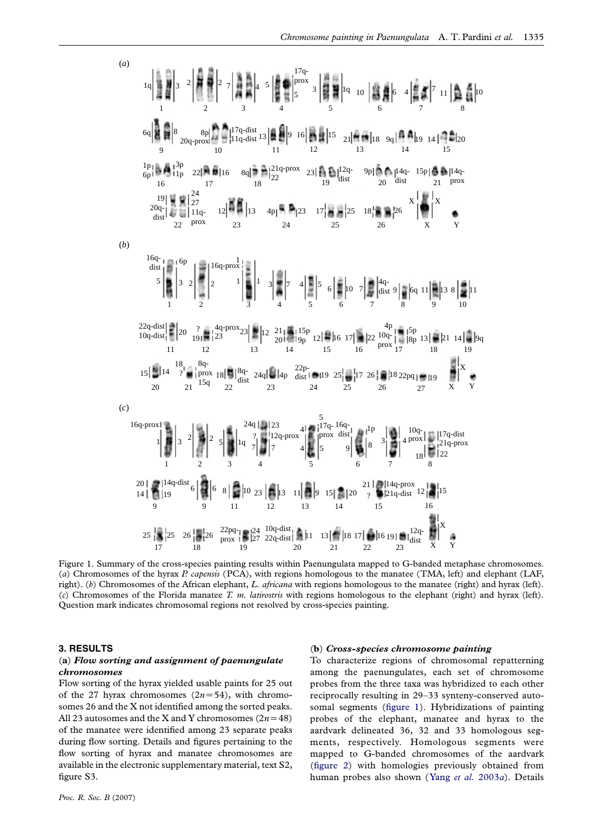

Figure 1. Summary of the cross-species painting results within Paenungulata mapped to G-banded metaphase chromosomes. (a) Chromosomes of the hyrax P. capensis (PCA), with regions homologous to the manatee (TMA, left) and elephant (LAF, right). (b) Chromosomes of the African elephant, L. africana with regions homologous to the manatee (right) and hyrax (left). (c) Chromosomes of the Florida manatee T. m. latirostris with regions homologous to the elephant (right) and hyrax (left). Question mark indicates chromosomal regions not resolved by cross-species painting.

## 3. RESULTS

### (a) Flow sorting and assignment of paenungulate chromosomes

Flow sorting of the hyrax yielded usable paints for 25 out of the 27 hyrax chromosomes  $(2n=54)$ , with chromosomes 26 and the X not identified among the sorted peaks. All 23 autosomes and the X and Y chromosomes  $(2n=48)$ of the manatee were identified among 23 separate peaks during flow sorting. Details and figures pertaining to the flow sorting of hyrax and manatee chromosomes are available in the electronic supplementary material, text S2, figure S3.

#### (b) Cross-species chromosome painting

To characterize regions of chromosomal repatterning among the paenungulates, each set of chromosome probes from the three taxa was hybridized to each other reciprocally resulting in 29–33 synteny-conserved autosomal segments (figure 1). Hybridizations of painting probes of the elephant, manatee and hyrax to the aardvark delineated 36, 32 and 33 homologous segments, respectively. Homologous segments were mapped to G-banded chromosomes of the aardvark ([figure 2](#page-3-0)) with homologies previously obtained from human probes also shown (Yang et al. [2003](#page-7-0)a). Details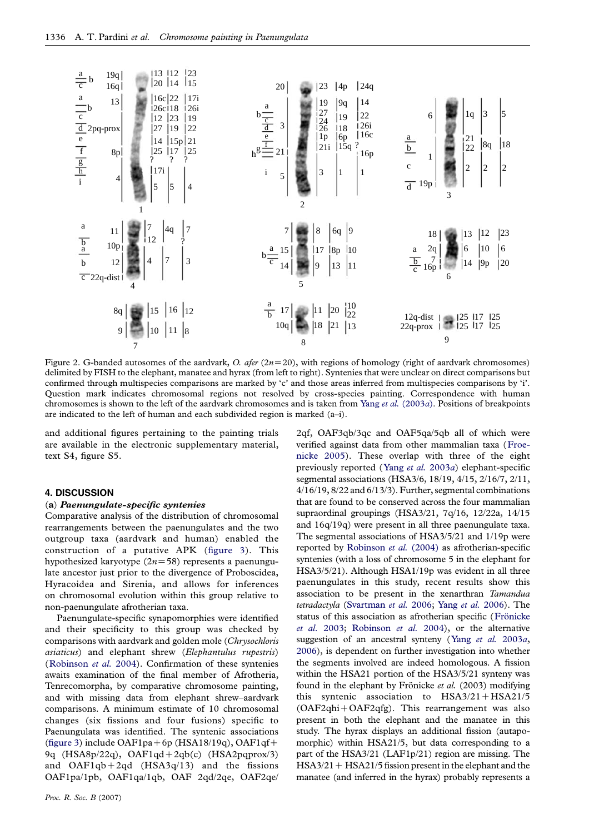<span id="page-3-0"></span>

Figure 2. G-banded autosomes of the aardvark, O. afer ( $2n=20$ ), with regions of homology (right of aardvark chromosomes) delimited by FISH to the elephant, manatee and hyrax (from left to right). Syntenies that were unclear on direct comparisons but confirmed through multispecies comparisons are marked by 'c' and those areas inferred from multispecies comparisons by 'i'. Question mark indicates chromosomal regions not resolved by cross-species painting. Correspondence with human chromosomes is shown to the left of the aardvark chromosomes and is taken from Yang et al. [\(2003](#page-7-0)a). Positions of breakpoints are indicated to the left of human and each subdivided region is marked (a–i).

and additional figures pertaining to the painting trials are available in the electronic supplementary material, text S4, figure S5.

## 4. DISCUSSION

#### (a) Paenungulate-specific syntenies

Comparative analysis of the distribution of chromosomal rearrangements between the paenungulates and the two outgroup taxa (aardvark and human) enabled the construction of a putative APK ([figure 3\)](#page-4-0). This hypothesized karyotype  $(2n=58)$  represents a paenungulate ancestor just prior to the divergence of Proboscidea, Hyracoidea and Sirenia, and allows for inferences on chromosomal evolution within this group relative to non-paenungulate afrotherian taxa.

Paenungulate-specific synapomorphies were identified and their specificity to this group was checked by comparisons with aardvark and golden mole (Chrysochloris asiaticus) and elephant shrew (Elephantulus rupestris) ([Robinson](#page-7-0) et al. 2004). Confirmation of these syntenies awaits examination of the final member of Afrotheria, Tenrecomorpha, by comparative chromosome painting, and with missing data from elephant shrew–aardvark comparisons. A minimum estimate of 10 chromosomal changes (six fissions and four fusions) specific to Paenungulata was identified. The syntenic associations ([figure 3\)](#page-4-0) include OAF1pa+6p (HSA18/19q), OAF1qf+ 9q  $(HSA8p/22q)$ ,  $OAF1qd+2qb(c)$   $(HSA2pqprox/3)$ and  $OAF1qb+2qd$  (HSA3q/13) and the fissions OAF1pa/1pb, OAF1qa/1qb, OAF 2qd/2qe, OAF2qe/

2qf, OAF3qb/3qc and OAF5qa/5qb all of which were verified against data from other mammalian taxa ([Froe](#page-6-0)[nicke 2005\)](#page-6-0). These overlap with three of the eight previously reported (Yang et al. [2003](#page-7-0)a) elephant-specific segmental associations (HSA3/6, 18/19, 4/15, 2/16/7, 2/11, 4/16/19, 8/22 and 6/13/3). Further, segmental combinations that are found to be conserved across the four mammalian supraordinal groupings (HSA3/21, 7q/16, 12/22a, 14/15 and 16q/19q) were present in all three paenungulate taxa. The segmental associations of HSA3/5/21 and 1/19p were reported by [Robinson](#page-7-0) et al. (2004) as afrotherian-specific syntenies (with a loss of chromosome 5 in the elephant for HSA3/5/21). Although HSA1/19p was evident in all three paenungulates in this study, recent results show this association to be present in the xenarthran Tamandua tetradactyla [\(Svartman](#page-7-0) et al. 2006; Yang et al. [2006](#page-7-0)). The status of this association as afrotherian specific (Frönicke [et al.](#page-6-0) 2003; [Robinson](#page-7-0) et al. 2004), or the alternative suggestion of an ancestral synteny (Yang [et al.](#page-7-0) 2003a, [2006\)](#page-7-0), is dependent on further investigation into whether the segments involved are indeed homologous. A fission within the HSA21 portion of the HSA3/5/21 synteny was found in the elephant by Frönicke et al.  $(2003)$  modifying this syntenic association to  $HSA3/21 + HSA21/5$  $(OAF2qhi+OAF2qfg)$ . This rearrangement was also present in both the elephant and the manatee in this study. The hyrax displays an additional fission (autapomorphic) within HSA21/5, but data corresponding to a part of the HSA3/21 (LAF1p/21) region are missing. The  $HSA3/21 + HSA21/5$  fission present in the elephant and the manatee (and inferred in the hyrax) probably represents a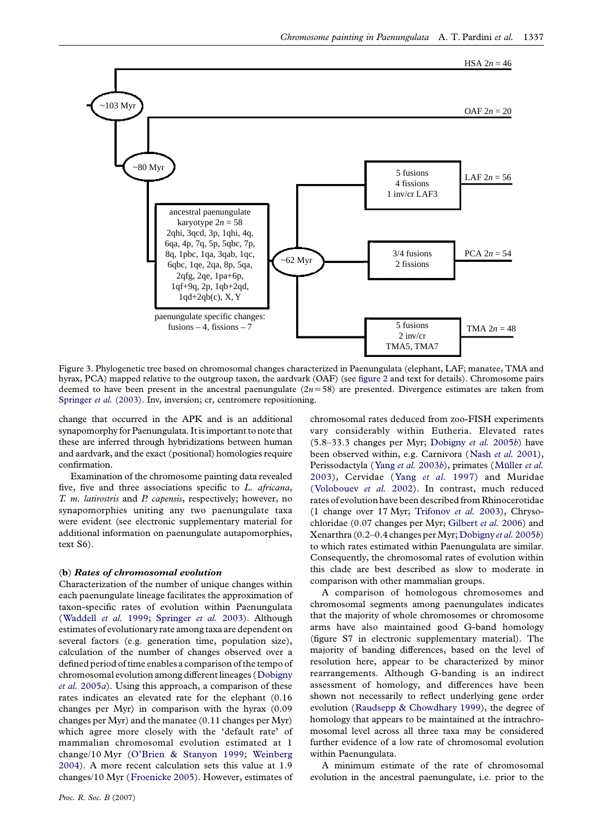<span id="page-4-0"></span>

Figure 3. Phylogenetic tree based on chromosomal changes characterized in Paenungulata (elephant, LAF; manatee, TMA and hyrax, PCA) mapped relative to the outgroup taxon, the aardvark (OAF) (see [figure 2](#page-3-0) and text for details). Chromosome pairs deemed to have been present in the ancestral paenungulate  $(2n=58)$  are presented. Divergence estimates are taken from [Springer](#page-7-0) et al. (2003). Inv, inversion; cr, centromere repositioning.

change that occurred in the APK and is an additional synapomorphy for Paenungulata. It is important to note that these are inferred through hybridizations between human and aardvark, and the exact (positional) homologies require confirmation.

Examination of the chromosome painting data revealed five, five and three associations specific to L. africana, T. m. latirostris and P. capensis, respectively; however, no synapomorphies uniting any two paenungulate taxa were evident (see electronic supplementary material for additional information on paenungulate autapomorphies, text S6).

## (b) Rates of chromosomal evolution

Characterization of the number of unique changes within each paenungulate lineage facilitates the approximation of taxon-specific rates of evolution within Paenungulata ([Waddell](#page-7-0) et al. 1999; [Springer](#page-7-0) et al. 2003). Although estimates of evolutionary rate among taxa are dependent on several factors (e.g. generation time, population size), calculation of the number of changes observed over a defined period of time enables a comparison of the tempo of chromosomal evolution among different lineages ([Dobigny](#page-6-0)  $et al. 2005a$  $et al. 2005a$  $et al. 2005a$ ). Using this approach, a comparison of these rates indicates an elevated rate for the elephant (0.16 changes per Myr) in comparison with the hyrax (0.09 changes per Myr) and the manatee (0.11 changes per Myr) which agree more closely with the 'default rate' of mammalian chromosomal evolution estimated at 1 change/10 Myr [\(O'Brien & Stanyon 1999;](#page-6-0) [Weinberg](#page-7-0) [2004](#page-7-0)). A more recent calculation sets this value at 1.9 changes/10 Myr ([Froenicke 2005](#page-6-0)). However, estimates of chromosomal rates deduced from zoo-FISH experiments vary considerably within Eutheria. Elevated rates (5.8–33.3 changes per Myr; [Dobigny](#page-6-0) et al. 2005b) have been observed within, e.g. Carnivora ([Nash](#page-6-0) et al. 2001), Perissodactyla (Yang et al. [2003](#page-7-0)b), primates (Müller et al. [2003](#page-6-0)), Cervidae (Yang [et al.](#page-7-0) 1997) and Muridae ([Volobouev](#page-7-0) et al. 2002). In contrast, much reduced rates of evolution have been described from Rhinocerotidae (1 change over 17 Myr; [Trifonov](#page-7-0) et al. 2003), Chrysochloridae (0.07 changes per Myr; [Gilbert](#page-6-0) et al. 2006) and Xenarthra (0.2–0.4 changes per Myr; [Dobigny](#page-6-0) et al. 2005b) to which rates estimated within Paenungulata are similar. Consequently, the chromosomal rates of evolution within this clade are best described as slow to moderate in comparison with other mammalian groups.

A comparison of homologous chromosomes and chromosomal segments among paenungulates indicates that the majority of whole chromosomes or chromosome arms have also maintained good G-band homology (figure S7 in electronic supplementary material). The majority of banding differences, based on the level of resolution here, appear to be characterized by minor rearrangements. Although G-banding is an indirect assessment of homology, and differences have been shown not necessarily to reflect underlying gene order evolution ([Raudsepp & Chowdhary 1999\)](#page-7-0), the degree of homology that appears to be maintained at the intrachromosomal level across all three taxa may be considered further evidence of a low rate of chromosomal evolution within Paenungulata.

A minimum estimate of the rate of chromosomal evolution in the ancestral paenungulate, i.e. prior to the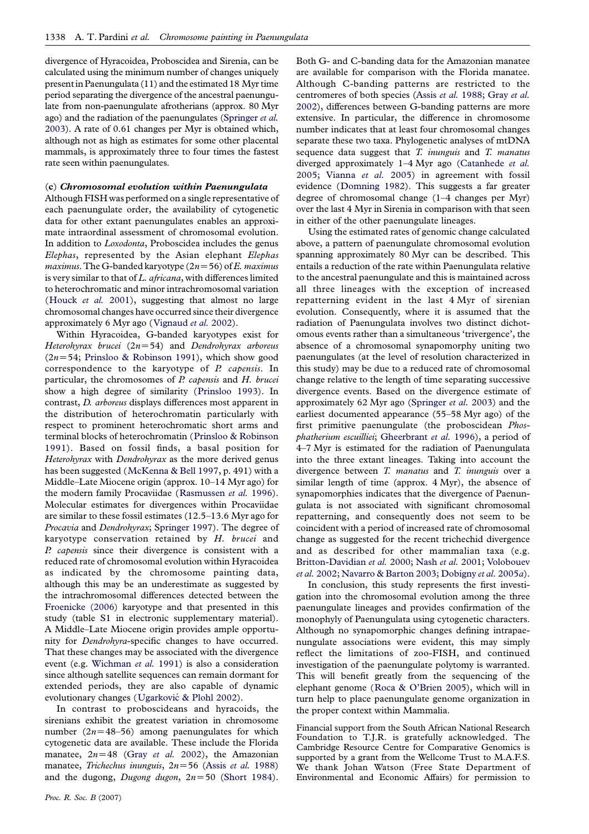divergence of Hyracoidea, Proboscidea and Sirenia, can be calculated using the minimum number of changes uniquely presentinPaenungulata (11) and the estimated 18 Myr time period separating the divergence of the ancestral paenungulate from non-paenungulate afrotherians (approx. 80 Myr ago) and the radiation of the paenungulates ([Springer](#page-7-0) et al. [2003\)](#page-7-0). A rate of 0.61 changes per Myr is obtained which, although not as high as estimates for some other placental mammals, is approximately three to four times the fastest rate seen within paenungulates.

#### (c) Chromosomal evolution within Paenungulata

Although FISH was performed on a single representative of each paenungulate order, the availability of cytogenetic data for other extant paenungulates enables an approximate intraordinal assessment of chromosomal evolution. In addition to Loxodonta, Proboscidea includes the genus Elephas, represented by the Asian elephant Elephas maximus. The G-banded karyotype  $(2n=56)$  of E. maximus is very similar to that of L. africana, with differences limited to heterochromatic and minor intrachromosomal variation ([Houck](#page-6-0) *et al.* 2001), suggesting that almost no large chromosomal changes have occurred since their divergence approximately 6 Myr ago ([Vignaud](#page-7-0) et al. 2002).

Within Hyracoidea, G-banded karyotypes exist for Heterohyrax brucei  $(2n=54)$  and Dendrohyrax arboreus  $(2n=54;$  [Prinsloo & Robinson 1991](#page-6-0)), which show good correspondence to the karyotype of  $P$ . capensis. In particular, the chromosomes of  $P$  capensis and  $H$ . brucei show a high degree of similarity ([Prinsloo 1993\)](#page-6-0). In contrast, D. arboreus displays differences most apparent in the distribution of heterochromatin particularly with respect to prominent heterochromatic short arms and terminal blocks of heterochromatin ([Prinsloo & Robinson](#page-6-0) [1991](#page-6-0)). Based on fossil finds, a basal position for Heterohyrax with Dendrohyrax as the more derived genus has been suggested ([McKenna & Bell 1997,](#page-6-0) p. 491) with a Middle–Late Miocene origin (approx. 10–14 Myr ago) for the modern family Procaviidae ([Rasmussen](#page-7-0) et al. 1996). Molecular estimates for divergences within Procaviidae are similar to these fossil estimates (12.5–13.6 Myr ago for Procavia and Dendrohyrax; [Springer 1997\)](#page-7-0). The degree of karyotype conservation retained by H. brucei and P. capensis since their divergence is consistent with a reduced rate of chromosomal evolution within Hyracoidea as indicated by the chromosome painting data, although this may be an underestimate as suggested by the intrachromosomal differences detected between the [Froenicke \(2006\)](#page-6-0) karyotype and that presented in this study (table S1 in electronic supplementary material). A Middle–Late Miocene origin provides ample opportunity for Dendrohyra-specific changes to have occurred. That these changes may be associated with the divergence event (e.g. [Wichman](#page-7-0) et al. 1991) is also a consideration since although satellite sequences can remain dormant for extended periods, they are also capable of dynamic evolutionary changes (Ugarković [& Plohl 2002](#page-7-0)).

In contrast to proboscideans and hyracoids, the sirenians exhibit the greatest variation in chromosome number ( $2n=48-56$ ) among paenungulates for which cytogenetic data are available. These include the Florida manatee,  $2n=48$  (Gray [et al.](#page-6-0) 2002), the Amazonian manatee, Trichechus inunguis,  $2n=56$  (Assis et al. [1988\)](#page-6-0) and the dugong, Dugong dugon,  $2n=50$  [\(Short 1984\)](#page-7-0).

Proc. R. Soc. B (2007)

Both G- and C-banding data for the Amazonian manatee are available for comparison with the Florida manatee. Although C-banding patterns are restricted to the centromeres of both species (Assis et al. [1988](#page-6-0); [Gray](#page-6-0) et al. [2002](#page-6-0)), differences between G-banding patterns are more extensive. In particular, the difference in chromosome number indicates that at least four chromosomal changes separate these two taxa. Phylogenetic analyses of mtDNA sequence data suggest that  $T$ . inunguis and  $T$ . manatus diverged approximately 1–4 Myr ago ([Catanhede](#page-6-0) et al. [2005;](#page-6-0) [Vianna](#page-7-0) et al. 2005) in agreement with fossil evidence ([Domning 1982](#page-6-0)). This suggests a far greater degree of chromosomal change (1–4 changes per Myr) over the last 4 Myr in Sirenia in comparison with that seen in either of the other paenungulate lineages.

Using the estimated rates of genomic change calculated above, a pattern of paenungulate chromosomal evolution spanning approximately 80 Myr can be described. This entails a reduction of the rate within Paenungulata relative to the ancestral paenungulate and this is maintained across all three lineages with the exception of increased repatterning evident in the last 4 Myr of sirenian evolution. Consequently, where it is assumed that the radiation of Paenungulata involves two distinct dichotomous events rather than a simultaneous 'trivergence', the absence of a chromosomal synapomorphy uniting two paenungulates (at the level of resolution characterized in this study) may be due to a reduced rate of chromosomal change relative to the length of time separating successive divergence events. Based on the divergence estimate of approximately 62 Myr ago ([Springer](#page-7-0) et al. 2003) and the earliest documented appearance (55–58 Myr ago) of the first primitive paenungulate (the proboscidean Phosphatherium escuilliei; [Gheerbrant](#page-6-0) et al. 1996), a period of 4–7 Myr is estimated for the radiation of Paenungulata into the three extant lineages. Taking into account the divergence between T. manatus and T. inunguis over a similar length of time (approx. 4 Myr), the absence of synapomorphies indicates that the divergence of Paenungulata is not associated with significant chromosomal repatterning, and consequently does not seem to be coincident with a period of increased rate of chromosomal change as suggested for the recent trichechid divergence and as described for other mammalian taxa (e.g. [Britton-Davidian](#page-6-0) et al. 2000; [Nash](#page-6-0) et al. 2001; [Volobouev](#page-7-0) et al. [2002;](#page-7-0) [Navarro & Barton 2003;](#page-6-0) [Dobigny](#page-6-0) et al. 2005a).

In conclusion, this study represents the first investigation into the chromosomal evolution among the three paenungulate lineages and provides confirmation of the monophyly of Paenungulata using cytogenetic characters. Although no synapomorphic changes defining intrapaenungulate associations were evident, this may simply reflect the limitations of zoo-FISH, and continued investigation of the paenungulate polytomy is warranted. This will benefit greatly from the sequencing of the elephant genome ([Roca & O'Brien 2005](#page-7-0)), which will in turn help to place paenungulate genome organization in the proper context within Mammalia.

Financial support from the South African National Research Foundation to T.J.R. is gratefully acknowledged. The Cambridge Resource Centre for Comparative Genomics is supported by a grant from the Wellcome Trust to M.A.F.S. We thank Johan Watson (Free State Department of Environmental and Economic Affairs) for permission to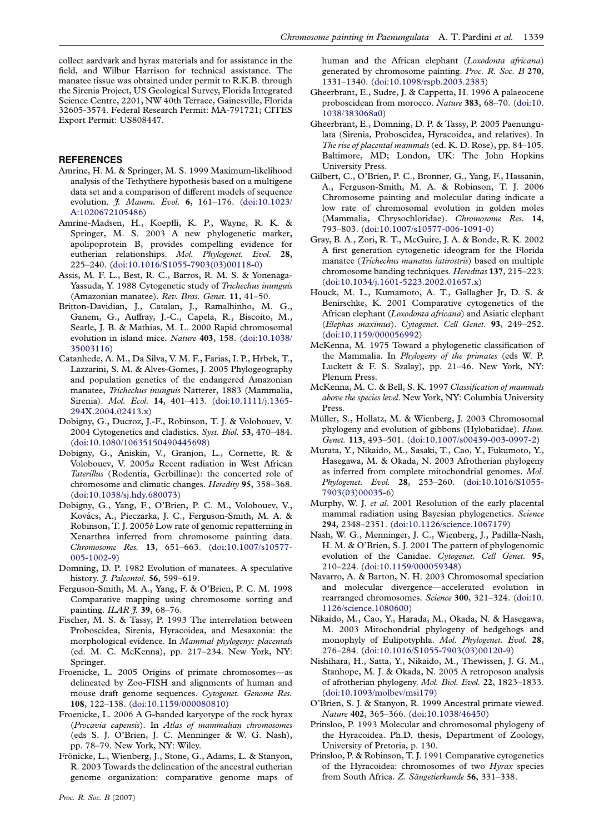<span id="page-6-0"></span>collect aardvark and hyrax materials and for assistance in the field, and Wilbur Harrison for technical assistance. The manatee tissue was obtained under permit to R.K.B. through the Sirenia Project, US Geological Survey, Florida Integrated Science Centre, 2201, NW 40th Terrace, Gainesville, Florida 32605-3574. Federal Research Permit: MA-791721; CITES Export Permit: US808447.

# REFERENCES

- Amrine, H. M. & Springer, M. S. 1999 Maximum-likelihood analysis of the Tethythere hypothesis based on a multigene data set and a comparison of different models of sequence evolution. *J. Mamm. Evol.* 6, 161-176. ([doi:10.1023/](http://dx.doi.org/doi:10.1023/A:1020672105486) [A:1020672105486\)](http://dx.doi.org/doi:10.1023/A:1020672105486)
- Amrine-Madsen, H., Koepfli, K. P., Wayne, R. K. & Springer, M. S. 2003 A new phylogenetic marker, apolipoprotein B, provides compelling evidence for eutherian relationships. Mol. Phylogenet. Evol. 28, 225–240. [\(doi:10.1016/S1055-7903\(03\)00118-0\)](http://dx.doi.org/doi:10.1016/S1055-7903(03)00118-0)
- Assis, M. F. L., Best, R. C., Barros, R. M. S. & Yonenaga-Yassuda, Y. 1988 Cytogenetic study of Trichechus inunguis (Amazonian manatee). Rev. Bras. Genet. 11, 41–50.
- Britton-Davidian, J., Catalan, J., Ramalhinho, M. G., Ganem, G., Auffray, J.-C., Capela, R., Biscoito, M., Searle, J. B. & Mathias, M. L. 2000 Rapid chromosomal evolution in island mice. Nature 403, 158. ([doi:10.1038/](http://dx.doi.org/doi:10.1038/35003116) [35003116\)](http://dx.doi.org/doi:10.1038/35003116)
- Catanhede, A. M., Da Silva, V. M. F., Farias, I. P., Hrbek, T., Lazzarini, S. M. & Alves-Gomes, J. 2005 Phylogeography and population genetics of the endangered Amazonian manatee, Trichechus inunguis Natterer, 1883 (Mammalia, Sirenia). Mol. Ecol. 14, 401-413. ([doi:10.1111/j.1365-](http://dx.doi.org/doi:10.1111/j.1365-294X.2004.02413.x) [294X.2004.02413.x\)](http://dx.doi.org/doi:10.1111/j.1365-294X.2004.02413.x)
- Dobigny, G., Ducroz, J.-F., Robinson, T. J. & Volobouev, V. 2004 Cytogenetics and cladistics. Syst. Biol. 53, 470–484. ([doi:10.1080/10635150490445698\)](http://dx.doi.org/doi:10.1080/10635150490445698)
- Dobigny, G., Aniskin, V., Granjon, L., Cornette, R. & Volobouev, V. 2005a Recent radiation in West African Taterillus (Rodentia, Gerbillinae): the concerted role of chromosome and climatic changes. Heredity 95, 358–368. ([doi:10.1038/sj.hdy.680073](http://dx.doi.org/doi:10.1038/sj.hdy.680073))
- Dobigny, G., Yang, F., O'Brien, P. C. M., Volobouev, V., Kovács, A., Pieczarka, J. C., Ferguson-Smith, M. A. & Robinson, T. J. 2005b Low rate of genomic repatterning in Xenarthra inferred from chromosome painting data. Chromosome Res. 13, 651–663. ([doi:10.1007/s10577-](http://dx.doi.org/doi:10.1007/s10577-005-1002-9) [005-1002-9](http://dx.doi.org/doi:10.1007/s10577-005-1002-9))
- Domning, D. P. 1982 Evolution of manatees. A speculative history. *J. Paleontol.* 56, 599-619.
- Ferguson-Smith, M. A., Yang, F. & O'Brien, P. C. M. 1998 Comparative mapping using chromosome sorting and painting. ILAR *J*. 39, 68-76.
- Fischer, M. S. & Tassy, P. 1993 The interrelation between Proboscidea, Sirenia, Hyracoidea, and Mesaxonia: the morphological evidence. In Mammal phylogeny: placentals (ed. M. C. McKenna), pp. 217–234. New York, NY: Springer.
- Froenicke, L. 2005 Origins of primate chromosomes—as delineated by Zoo-FISH and alignments of human and mouse draft genome sequences. Cytogenet. Genome Res. 108, 122–138. [\(doi:10.1159/000080810\)](http://dx.doi.org/doi:10.1159/000080810)
- Froenicke, L. 2006 A G-banded karyotype of the rock hyrax (Procavia capensis). In Atlas of mammalian chromosomes (eds S. J. O'Brien, J. C. Menninger & W. G. Nash), pp. 78–79. New York, NY: Wiley.
- Frönicke, L., Wienberg, J., Stone, G., Adams, L. & Stanyon, R. 2003 Towards the delineation of the ancestral eutherian genome organization: comparative genome maps of

human and the African elephant (Loxodonta africana) generated by chromosome painting. Proc. R. Soc. B 270, 1331–1340. [\(doi:10.1098/rspb.2003.2383\)](http://dx.doi.org/doi:10.1098/rspb.2003.2383)

- Gheerbrant, E., Sudre, J. & Cappetta, H. 1996 A palaeocene proboscidean from morocco. Nature 383, 68–70. ([doi:10.](http://dx.doi.org/doi:10.1038/383068a0) [1038/383068a0\)](http://dx.doi.org/doi:10.1038/383068a0)
- Gheerbrant, E., Domning, D. P. & Tassy, P. 2005 Paenungulata (Sirenia, Proboscidea, Hyracoidea, and relatives). In The rise of placental mammals (ed. K. D. Rose), pp. 84–105. Baltimore, MD; London, UK: The John Hopkins University Press.
- Gilbert, C., O'Brien, P. C., Bronner, G., Yang, F., Hassanin, A., Ferguson-Smith, M. A. & Robinson, T. J. 2006 Chromosome painting and molecular dating indicate a low rate of chromosomal evolution in golden moles (Mammalia, Chrysochloridae). Chromosome Res. 14, 793–803. [\(doi:10.1007/s10577-006-1091-0\)](http://dx.doi.org/doi:10.1007/s10577-006-1091-0)
- Gray, B. A., Zori, R. T., McGuire, J. A. & Bonde, R. K. 2002 A first generation cytogenetic ideogram for the Florida manatee (Trichechus manatus latirostris) based on multiple chromosome banding techniques. Hereditas 137, 215–223. ([doi:10.1034/j.1601-5223.2002.01657.x](http://dx.doi.org/doi:10.1034/j.1601-5223.2002.01657.x))
- Houck, M. L., Kumamoto, A. T., Gallagher Jr, D. S. & Benirschke, K. 2001 Comparative cytogenetics of the African elephant (Loxodonta africana) and Asiatic elephant (Elephas maximus). Cytogenet. Cell Genet. 93, 249–252. ([doi:10.1159/000056992](http://dx.doi.org/doi:10.1159/000056992))
- McKenna, M. 1975 Toward a phylogenetic classification of the Mammalia. In Phylogeny of the primates (eds W. P. Luckett & F. S. Szalay), pp. 21–46. New York, NY: Plenum Press.
- McKenna, M. C. & Bell, S. K. 1997 Classification of mammals above the species level. New York, NY: Columbia University Press.
- Müller, S., Hollatz, M. & Wienberg, J. 2003 Chromosomal phylogeny and evolution of gibbons (Hylobatidae). Hum. Genet. 113, 493–501. [\(doi:10.1007/s00439-003-0997-2](http://dx.doi.org/doi:10.1007/s00439-003-0997-2))
- Murata, Y., Nikaido, M., Sasaki, T., Cao, Y., Fukumoto, Y., Hasegawa, M. & Okada, N. 2003 Afrotherian phylogeny as inferred from complete mitochondrial genomes. Mol. Phylogenet. Evol. 28, 253–260. [\(doi:10.1016/S1055-](http://dx.doi.org/doi:10.1016/S1055-7903(03)00035-6) [7903\(03\)00035-6\)](http://dx.doi.org/doi:10.1016/S1055-7903(03)00035-6)
- Murphy, W. J. et al. 2001 Resolution of the early placental mammal radiation using Bayesian phylogenetics. Science 294, 2348–2351. [\(doi:10.1126/science.1067179](http://dx.doi.org/doi:10.1126/science.1067179))
- Nash, W. G., Menninger, J. C., Wienberg, J., Padilla-Nash, H. M. & O'Brien, S. J. 2001 The pattern of phylogenomic evolution of the Canidae. Cytogenet. Cell Genet. 95, 210–224. [\(doi:10.1159/000059348\)](http://dx.doi.org/doi:10.1159/000059348)
- Navarro, A. & Barton, N. H. 2003 Chromosomal speciation and molecular divergence—accelerated evolution in rearranged chromosomes. Science 300, 321–324. [\(doi:10.](http://dx.doi.org/doi:10.1126/science.1080600) [1126/science.1080600\)](http://dx.doi.org/doi:10.1126/science.1080600)
- Nikaido, M., Cao, Y., Harada, M., Okada, N. & Hasegawa, M. 2003 Mitochondrial phylogeny of hedgehogs and monophyly of Eulipotyphla. Mol. Phylogenet. Evol. 28, 276–284. [\(doi:10.1016/S1055-7903\(03\)00120-9](http://dx.doi.org/doi:10.1016/S1055-7903(03)00120-9))
- Nishihara, H., Satta, Y., Nikaido, M., Thewissen, J. G. M., Stanhope, M. J. & Okada, N. 2005 A retroposon analysis of afrotherian phylogeny. Mol. Biol. Evol. 22, 1823–1833. ([doi:10.1093/molbev/msi179](http://dx.doi.org/doi:10.1093/molbev/msi179))
- O'Brien, S. J. & Stanyon, R. 1999 Ancestral primate viewed. Nature 402, 365–366. [\(doi:10.1038/46450\)](http://dx.doi.org/doi:10.1038/46450)
- Prinsloo, P. 1993 Molecular and chromosomal phylogeny of the Hyracoidea. Ph.D. thesis, Department of Zoology, University of Pretoria, p. 130.
- Prinsloo, P. & Robinson, T. J. 1991 Comparative cytogenetics of the Hyracoidea: chromosomes of two Hyrax species from South Africa. Z. Säugetierkunde 56, 331-338.